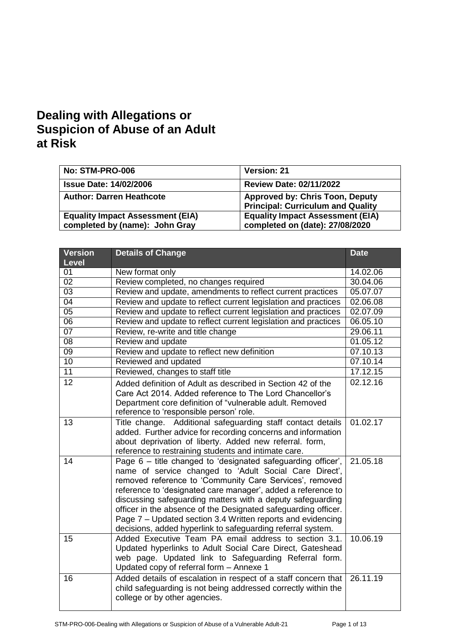# **Dealing with Allegations or Suspicion of Abuse of an Adult at Risk**

| No: STM-PRO-006                                                           | Version: 21                                                                        |
|---------------------------------------------------------------------------|------------------------------------------------------------------------------------|
| <b>Issue Date: 14/02/2006</b>                                             | <b>Review Date: 02/11/2022</b>                                                     |
| <b>Author: Darren Heathcote</b>                                           | <b>Approved by: Chris Toon, Deputy</b><br><b>Principal: Curriculum and Quality</b> |
| <b>Equality Impact Assessment (EIA)</b><br>completed by (name): John Gray | <b>Equality Impact Assessment (EIA)</b><br>completed on (date): 27/08/2020         |

| <b>Version</b>  | <b>Details of Change</b>                                                                                                                                                                                                                                                                                                                                                                                                                                                                                        | <b>Date</b> |
|-----------------|-----------------------------------------------------------------------------------------------------------------------------------------------------------------------------------------------------------------------------------------------------------------------------------------------------------------------------------------------------------------------------------------------------------------------------------------------------------------------------------------------------------------|-------------|
| <b>Level</b>    |                                                                                                                                                                                                                                                                                                                                                                                                                                                                                                                 |             |
| 01              | New format only                                                                                                                                                                                                                                                                                                                                                                                                                                                                                                 | 14.02.06    |
| 02              | Review completed, no changes required                                                                                                                                                                                                                                                                                                                                                                                                                                                                           | 30.04.06    |
| $\overline{03}$ | Review and update, amendments to reflect current practices                                                                                                                                                                                                                                                                                                                                                                                                                                                      | 05.07.07    |
| $\overline{04}$ | Review and update to reflect current legislation and practices                                                                                                                                                                                                                                                                                                                                                                                                                                                  | 02.06.08    |
| $\overline{05}$ | Review and update to reflect current legislation and practices                                                                                                                                                                                                                                                                                                                                                                                                                                                  | 02.07.09    |
| 06              | Review and update to reflect current legislation and practices                                                                                                                                                                                                                                                                                                                                                                                                                                                  | 06.05.10    |
| $\overline{07}$ | Review, re-write and title change                                                                                                                                                                                                                                                                                                                                                                                                                                                                               | 29.06.11    |
| $\overline{08}$ | Review and update                                                                                                                                                                                                                                                                                                                                                                                                                                                                                               | 01.05.12    |
| $\overline{09}$ | Review and update to reflect new definition                                                                                                                                                                                                                                                                                                                                                                                                                                                                     | 07.10.13    |
| 10              | Reviewed and updated                                                                                                                                                                                                                                                                                                                                                                                                                                                                                            | 07.10.14    |
| 11              | Reviewed, changes to staff title                                                                                                                                                                                                                                                                                                                                                                                                                                                                                | 17.12.15    |
| 12              | Added definition of Adult as described in Section 42 of the<br>Care Act 2014. Added reference to The Lord Chancellor's<br>Department core definition of "vulnerable adult. Removed<br>reference to 'responsible person' role.                                                                                                                                                                                                                                                                                   | 02.12.16    |
| 13              | Title change. Additional safeguarding staff contact details<br>added. Further advice for recording concerns and information<br>about deprivation of liberty. Added new referral. form,<br>reference to restraining students and intimate care.                                                                                                                                                                                                                                                                  | 01.02.17    |
| 14              | Page 6 – title changed to 'designated safeguarding officer',<br>name of service changed to 'Adult Social Care Direct',<br>removed reference to 'Community Care Services', removed<br>reference to 'designated care manager', added a reference to<br>discussing safeguarding matters with a deputy safeguarding<br>officer in the absence of the Designated safeguarding officer.<br>Page 7 - Updated section 3.4 Written reports and evidencing<br>decisions, added hyperlink to safeguarding referral system. | 21.05.18    |
| 15              | Added Executive Team PA email address to section 3.1.<br>Updated hyperlinks to Adult Social Care Direct, Gateshead<br>web page. Updated link to Safeguarding Referral form.<br>Updated copy of referral form - Annexe 1                                                                                                                                                                                                                                                                                         | 10.06.19    |
| 16              | Added details of escalation in respect of a staff concern that<br>child safeguarding is not being addressed correctly within the<br>college or by other agencies.                                                                                                                                                                                                                                                                                                                                               | 26.11.19    |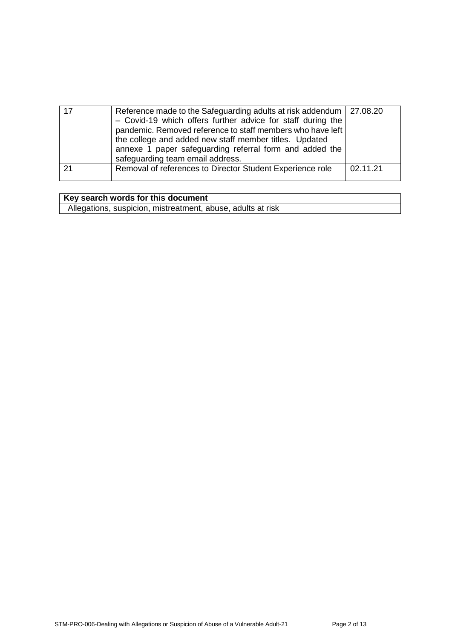| Reference made to the Safeguarding adults at risk addendum   27.08.20<br>- Covid-19 which offers further advice for staff during the<br>pandemic. Removed reference to staff members who have left<br>the college and added new staff member titles. Updated<br>annexe 1 paper safeguarding referral form and added the<br>safeguarding team email address. |          |
|-------------------------------------------------------------------------------------------------------------------------------------------------------------------------------------------------------------------------------------------------------------------------------------------------------------------------------------------------------------|----------|
| Removal of references to Director Student Experience role                                                                                                                                                                                                                                                                                                   | 02.11.21 |

## **Key search words for this document**

Allegations, suspicion, mistreatment, abuse, adults at risk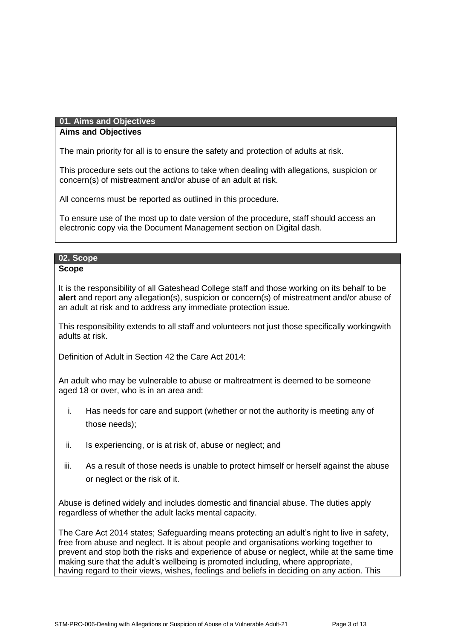## **01. Aims and Objectives**

## **Aims and Objectives**

The main priority for all is to ensure the safety and protection of adults at risk.

This procedure sets out the actions to take when dealing with allegations, suspicion or concern(s) of mistreatment and/or abuse of an adult at risk.

All concerns must be reported as outlined in this procedure.

To ensure use of the most up to date version of the procedure, staff should access an electronic copy via the Document Management section on Digital dash.

## **02. Scope**

**Scope**

It is the responsibility of all Gateshead College staff and those working on its behalf to be **alert** and report any allegation(s), suspicion or concern(s) of mistreatment and/or abuse of an adult at risk and to address any immediate protection issue.

This responsibility extends to all staff and volunteers not just those specifically workingwith adults at risk.

Definition of Adult in Section 42 the Care Act 2014:

An adult who may be vulnerable to abuse or maltreatment is deemed to be someone aged 18 or over, who is in an area and:

- i. Has needs for care and support (whether or not the authority is meeting any of those needs);
- ii. Is experiencing, or is at risk of, abuse or neglect; and
- iii. As a result of those needs is unable to protect himself or herself against the abuse or neglect or the risk of it.

Abuse is defined widely and includes domestic and financial abuse. The duties apply regardless of whether the adult lacks mental capacity.

The Care Act 2014 states; Safeguarding means protecting an adult's right to live in safety, free from abuse and neglect. It is about people and organisations working together to prevent and stop both the risks and experience of abuse or neglect, while at the same time making sure that the adult's wellbeing is promoted including, where appropriate, having regard to their views, wishes, feelings and beliefs in deciding on any action. This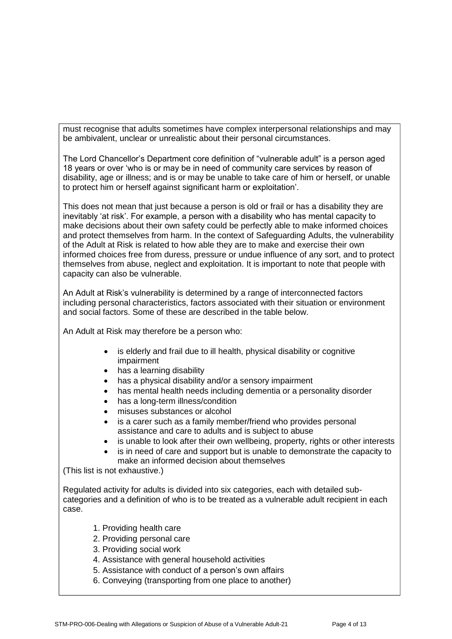must recognise that adults sometimes have complex interpersonal relationships and may be ambivalent, unclear or unrealistic about their personal circumstances.

The Lord Chancellor's Department core definition of "vulnerable adult" is a person aged 18 years or over 'who is or may be in need of community care services by reason of disability, age or illness; and is or may be unable to take care of him or herself, or unable to protect him or herself against significant harm or exploitation'.

This does not mean that just because a person is old or frail or has a disability they are inevitably 'at risk'. For example, a person with a disability who has mental capacity to make decisions about their own safety could be perfectly able to make informed choices and protect themselves from harm. In the context of Safeguarding Adults, the vulnerability of the Adult at Risk is related to how able they are to make and exercise their own informed choices free from duress, pressure or undue influence of any sort, and to protect themselves from abuse, neglect and exploitation. It is important to note that people with capacity can also be vulnerable.

An Adult at Risk's vulnerability is determined by a range of interconnected factors including personal characteristics, factors associated with their situation or environment and social factors. Some of these are described in the table below.

An Adult at Risk may therefore be a person who:

- is elderly and frail due to ill health, physical disability or cognitive impairment
- has a learning disability
- has a physical disability and/or a sensory impairment
- has mental health needs including dementia or a personality disorder
- has a long-term illness/condition
- misuses substances or alcohol
- is a carer such as a family member/friend who provides personal assistance and care to adults and is subject to abuse
- is unable to look after their own wellbeing, property, rights or other interests
- is in need of care and support but is unable to demonstrate the capacity to make an informed decision about themselves

(This list is not exhaustive.)

Regulated activity for adults is divided into six categories, each with detailed subcategories and a definition of who is to be treated as a vulnerable adult recipient in each case.

- 1. Providing health care
- 2. Providing personal care
- 3. Providing social work
- 4. Assistance with general household activities
- 5. Assistance with conduct of a person's own affairs
- 6. Conveying (transporting from one place to another)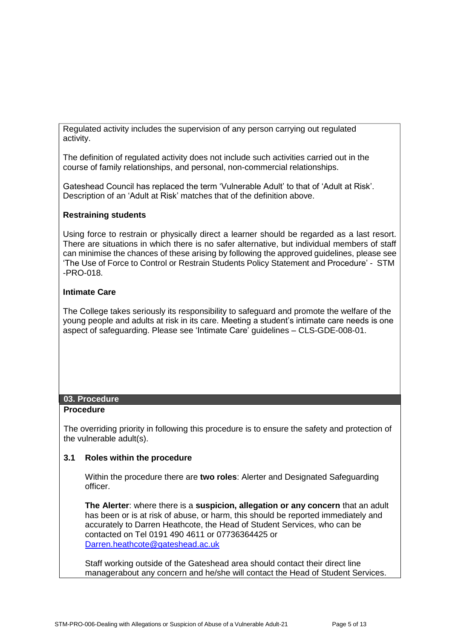Regulated activity includes the supervision of any person carrying out regulated activity.

The definition of regulated activity does not include such activities carried out in the course of family relationships, and personal, non-commercial relationships.

Gateshead Council has replaced the term 'Vulnerable Adult' to that of 'Adult at Risk'. Description of an 'Adult at Risk' matches that of the definition above.

## **Restraining students**

Using force to restrain or physically direct a learner should be regarded as a last resort. There are situations in which there is no safer alternative, but individual members of staff can minimise the chances of these arising by following the approved guidelines, please see 'The Use of Force to Control or Restrain Students Policy Statement and Procedure' - STM -PRO-018.

## **Intimate Care**

The College takes seriously its responsibility to safeguard and promote the welfare of the young people and adults at risk in its care. Meeting a student's intimate care needs is one aspect of safeguarding. Please see 'Intimate Care' guidelines – CLS-GDE-008-01.

#### **03. Procedure**

#### **Procedure**

The overriding priority in following this procedure is to ensure the safety and protection of the vulnerable adult(s).

#### **3.1 Roles within the procedure**

Within the procedure there are **two roles**: Alerter and Designated Safeguarding officer.

**The Alerter**: where there is a **suspicion, allegation or any concern** that an adult has been or is at risk of abuse, or harm, this should be reported immediately and accurately to Darren Heathcote, the Head of Student Services, who can be contacted on Tel 0191 490 4611 or 07736364425 or [Darren.heathcote@gateshead.ac.uk](mailto:Darren.heathcote@gateshead.ac.uk)

Staff working outside of the Gateshead area should contact their direct line managerabout any concern and he/she will contact the Head of Student Services.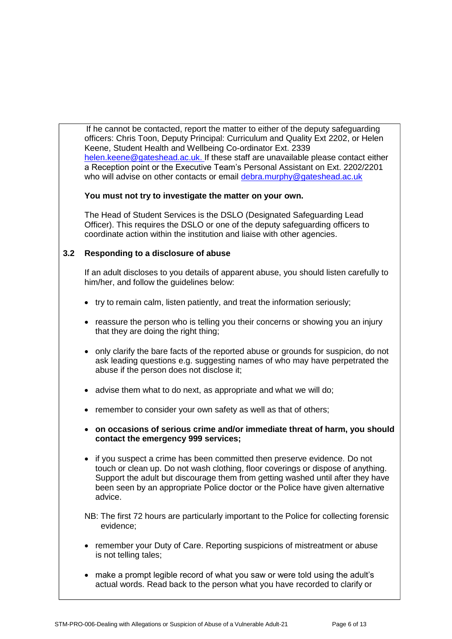If he cannot be contacted, report the matter to either of the deputy safeguarding officers: Chris Toon, Deputy Principal: Curriculum and Quality Ext 2202, or Helen Keene, Student Health and Wellbeing Co-ordinator Ext. 2339 [helen.keene@gateshead.ac.uk. I](mailto:helen.keene@gateshead.ac.uk.)f these staff are unavailable please contact either a Reception point or the Executive Team's Personal Assistant on Ext. 2202/2201 who will advise on other contacts or email [debra.murphy@gateshead.ac.uk](mailto:debra.murphy@gateshead.ac.uk)

## **You must not try to investigate the matter on your own.**

The Head of Student Services is the DSLO (Designated Safeguarding Lead Officer). This requires the DSLO or one of the deputy safeguarding officers to coordinate action within the institution and liaise with other agencies.

## **3.2 Responding to a disclosure of abuse**

If an adult discloses to you details of apparent abuse, you should listen carefully to him/her, and follow the guidelines below:

- try to remain calm, listen patiently, and treat the information seriously;
- reassure the person who is telling you their concerns or showing you an injury that they are doing the right thing;
- only clarify the bare facts of the reported abuse or grounds for suspicion, do not ask leading questions e.g. suggesting names of who may have perpetrated the abuse if the person does not disclose it;
- advise them what to do next, as appropriate and what we will do;
- remember to consider your own safety as well as that of others;
- **on occasions of serious crime and/or immediate threat of harm, you should contact the emergency 999 services;**
- if you suspect a crime has been committed then preserve evidence. Do not touch or clean up. Do not wash clothing, floor coverings or dispose of anything. Support the adult but discourage them from getting washed until after they have been seen by an appropriate Police doctor or the Police have given alternative advice.
- NB: The first 72 hours are particularly important to the Police for collecting forensic evidence;
- remember your Duty of Care. Reporting suspicions of mistreatment or abuse is not telling tales;
- make a prompt legible record of what you saw or were told using the adult's actual words. Read back to the person what you have recorded to clarify or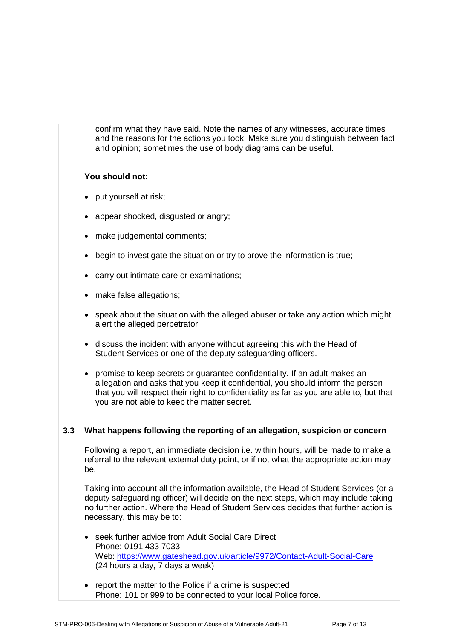confirm what they have said. Note the names of any witnesses, accurate times and the reasons for the actions you took. Make sure you distinguish between fact and opinion; sometimes the use of body diagrams can be useful.

## **You should not:**

- put yourself at risk;
- appear shocked, disgusted or angry;
- make judgemental comments;
- begin to investigate the situation or try to prove the information is true;
- carry out intimate care or examinations;
- make false allegations;
- speak about the situation with the alleged abuser or take any action which might alert the alleged perpetrator;
- discuss the incident with anyone without agreeing this with the Head of Student Services or one of the deputy safeguarding officers.
- promise to keep secrets or guarantee confidentiality. If an adult makes an allegation and asks that you keep it confidential, you should inform the person that you will respect their right to confidentiality as far as you are able to, but that you are not able to keep the matter secret.

## **3.3 What happens following the reporting of an allegation, suspicion or concern**

Following a report, an immediate decision i.e. within hours, will be made to make a referral to the relevant external duty point, or if not what the appropriate action may be.

Taking into account all the information available, the Head of Student Services (or a deputy safeguarding officer) will decide on the next steps, which may include taking no further action. Where the Head of Student Services decides that further action is necessary, this may be to:

- seek further advice from Adult Social Care Direct Phone: 0191 433 7033 Web:<https://www.gateshead.gov.uk/article/9972/Contact-Adult-Social-Care> (24 hours a day, 7 days a week)
- report the matter to the Police if a crime is suspected Phone: 101 or 999 to be connected to your local Police force.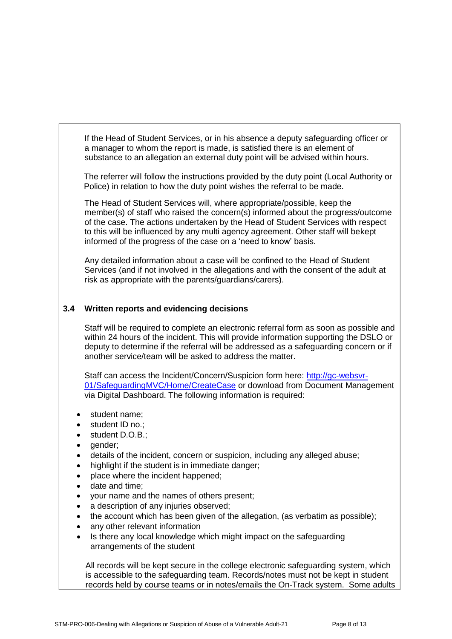If the Head of Student Services, or in his absence a deputy safeguarding officer or a manager to whom the report is made, is satisfied there is an element of substance to an allegation an external duty point will be advised within hours.

The referrer will follow the instructions provided by the duty point (Local Authority or Police) in relation to how the duty point wishes the referral to be made.

The Head of Student Services will, where appropriate/possible, keep the member(s) of staff who raised the concern(s) informed about the progress/outcome of the case. The actions undertaken by the Head of Student Services with respect to this will be influenced by any multi agency agreement. Other staff will bekept informed of the progress of the case on a 'need to know' basis.

Any detailed information about a case will be confined to the Head of Student Services (and if not involved in the allegations and with the consent of the adult at risk as appropriate with the parents/guardians/carers).

## **3.4 Written reports and evidencing decisions**

Staff will be required to complete an electronic referral form as soon as possible and within 24 hours of the incident. This will provide information supporting the DSLO or deputy to determine if the referral will be addressed as a safeguarding concern or if another service/team will be asked to address the matter.

Staff can access the Incident/Concern/Suspicion form here: [http://gc-websvr-](http://gc-websvr-01/SafeguardingMVC/Home/CreateCase)[01/SafeguardingMVC/Home/CreateCase](http://gc-websvr-01/SafeguardingMVC/Home/CreateCase) or download from Document Management via Digital Dashboard. The following information is required:

- student name;
- student ID no.;
- student D.O.B.;
- qender:
- details of the incident, concern or suspicion, including any alleged abuse;
- highlight if the student is in immediate danger;
- place where the incident happened;
- date and time;
- your name and the names of others present;
- a description of any injuries observed;
- the account which has been given of the allegation, (as verbatim as possible);
- any other relevant information
- Is there any local knowledge which might impact on the safeguarding arrangements of the student

All records will be kept secure in the college electronic safeguarding system, which is accessible to the safeguarding team. Records/notes must not be kept in student records held by course teams or in notes/emails the On-Track system. Some adults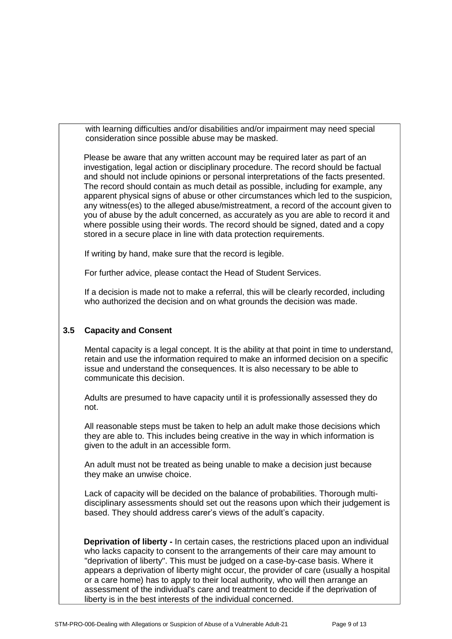with learning difficulties and/or disabilities and/or impairment may need special consideration since possible abuse may be masked.

Please be aware that any written account may be required later as part of an investigation, legal action or disciplinary procedure. The record should be factual and should not include opinions or personal interpretations of the facts presented. The record should contain as much detail as possible, including for example, any apparent physical signs of abuse or other circumstances which led to the suspicion, any witness(es) to the alleged abuse/mistreatment, a record of the account given to you of abuse by the adult concerned, as accurately as you are able to record it and where possible using their words. The record should be signed, dated and a copy stored in a secure place in line with data protection requirements.

If writing by hand, make sure that the record is legible.

For further advice, please contact the Head of Student Services.

If a decision is made not to make a referral, this will be clearly recorded, including who authorized the decision and on what grounds the decision was made.

#### **3.5 Capacity and Consent**

Mental capacity is a legal concept. It is the ability at that point in time to understand, retain and use the information required to make an informed decision on a specific issue and understand the consequences. It is also necessary to be able to communicate this decision.

Adults are presumed to have capacity until it is professionally assessed they do not.

All reasonable steps must be taken to help an adult make those decisions which they are able to. This includes being creative in the way in which information is given to the adult in an accessible form.

An adult must not be treated as being unable to make a decision just because they make an unwise choice.

Lack of capacity will be decided on the balance of probabilities. Thorough multidisciplinary assessments should set out the reasons upon which their judgement is based. They should address carer's views of the adult's capacity.

**Deprivation of liberty -** In certain cases, the restrictions placed upon an individual who lacks capacity to consent to the arrangements of their care may amount to "deprivation of liberty". This must be judged on a case-by-case basis. Where it appears a deprivation of liberty might occur, the provider of care (usually a hospital or a care home) has to apply to their local authority, who will then arrange an assessment of the individual's care and treatment to decide if the deprivation of liberty is in the best interests of the individual concerned.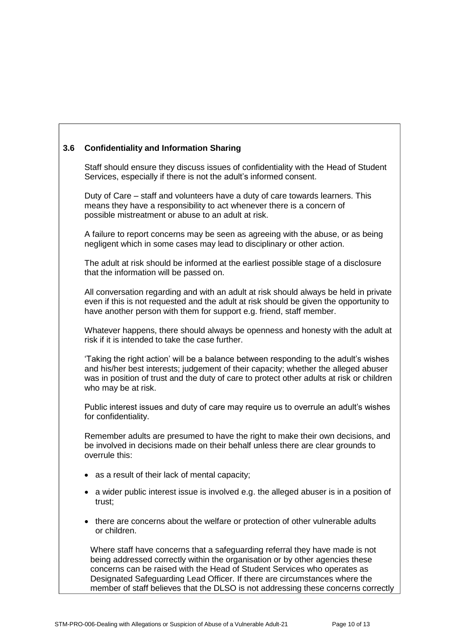## **3.6 Confidentiality and Information Sharing**

Staff should ensure they discuss issues of confidentiality with the Head of Student Services, especially if there is not the adult's informed consent.

Duty of Care – staff and volunteers have a duty of care towards learners. This means they have a responsibility to act whenever there is a concern of possible mistreatment or abuse to an adult at risk.

A failure to report concerns may be seen as agreeing with the abuse, or as being negligent which in some cases may lead to disciplinary or other action.

The adult at risk should be informed at the earliest possible stage of a disclosure that the information will be passed on.

All conversation regarding and with an adult at risk should always be held in private even if this is not requested and the adult at risk should be given the opportunity to have another person with them for support e.g. friend, staff member.

Whatever happens, there should always be openness and honesty with the adult at risk if it is intended to take the case further.

'Taking the right action' will be a balance between responding to the adult's wishes and his/her best interests; judgement of their capacity; whether the alleged abuser was in position of trust and the duty of care to protect other adults at risk or children who may be at risk.

Public interest issues and duty of care may require us to overrule an adult's wishes for confidentiality.

Remember adults are presumed to have the right to make their own decisions, and be involved in decisions made on their behalf unless there are clear grounds to overrule this:

- as a result of their lack of mental capacity;
- a wider public interest issue is involved e.g. the alleged abuser is in a position of trust;
- there are concerns about the welfare or protection of other vulnerable adults or children.

Where staff have concerns that a safeguarding referral they have made is not being addressed correctly within the organisation or by other agencies these concerns can be raised with the Head of Student Services who operates as Designated Safeguarding Lead Officer. If there are circumstances where the member of staff believes that the DLSO is not addressing these concerns correctly